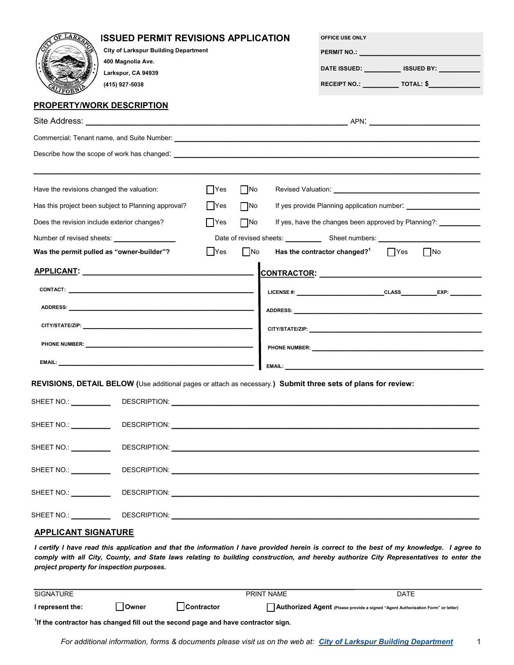| LAR                                         | <b>ISSUED PERMIT REVISIONS APPLICATION</b><br><b>City of Larkspur Building Department</b><br>400 Magnolia Ave.<br>Larkspur, CA 94939<br>(415) 927-5038<br><b>PROPERTY/WORK DESCRIPTION</b> |                                                                                                                                                                                                                                |                                             | OFFICE USE ONLY                                        | DATE ISSUED: ____________ ISSUED BY: __________<br>RECEIPT NO.: _____________ TOTAL: \$______________                                                                                                                                                                               |  |
|---------------------------------------------|--------------------------------------------------------------------------------------------------------------------------------------------------------------------------------------------|--------------------------------------------------------------------------------------------------------------------------------------------------------------------------------------------------------------------------------|---------------------------------------------|--------------------------------------------------------|-------------------------------------------------------------------------------------------------------------------------------------------------------------------------------------------------------------------------------------------------------------------------------------|--|
|                                             |                                                                                                                                                                                            |                                                                                                                                                                                                                                |                                             |                                                        |                                                                                                                                                                                                                                                                                     |  |
|                                             |                                                                                                                                                                                            |                                                                                                                                                                                                                                |                                             |                                                        |                                                                                                                                                                                                                                                                                     |  |
|                                             |                                                                                                                                                                                            |                                                                                                                                                                                                                                |                                             |                                                        |                                                                                                                                                                                                                                                                                     |  |
| Have the revisions changed the valuation:   |                                                                                                                                                                                            | $ $ Yes<br>$\Box$ No                                                                                                                                                                                                           |                                             |                                                        |                                                                                                                                                                                                                                                                                     |  |
|                                             | Has this project been subject to Planning approval?                                                                                                                                        | $\Box$ No<br>  Yes                                                                                                                                                                                                             | If yes provide Planning application number: |                                                        |                                                                                                                                                                                                                                                                                     |  |
| Does the revision include exterior changes? |                                                                                                                                                                                            | $\Box$ No<br>$\Box$ Yes                                                                                                                                                                                                        |                                             |                                                        | If yes, have the changes been approved by Planning?:                                                                                                                                                                                                                                |  |
|                                             |                                                                                                                                                                                            |                                                                                                                                                                                                                                |                                             |                                                        |                                                                                                                                                                                                                                                                                     |  |
|                                             | Was the permit pulled as "owner-builder"?                                                                                                                                                  | $\Box$ No<br>$\Box$ Yes                                                                                                                                                                                                        |                                             | Has the contractor changed? <sup>1</sup> $\bigcap$ Yes | $\vert$ No                                                                                                                                                                                                                                                                          |  |
|                                             |                                                                                                                                                                                            |                                                                                                                                                                                                                                |                                             |                                                        | CONTRACTOR: CONTRACTOR                                                                                                                                                                                                                                                              |  |
|                                             |                                                                                                                                                                                            |                                                                                                                                                                                                                                |                                             |                                                        |                                                                                                                                                                                                                                                                                     |  |
|                                             |                                                                                                                                                                                            |                                                                                                                                                                                                                                |                                             |                                                        |                                                                                                                                                                                                                                                                                     |  |
|                                             |                                                                                                                                                                                            |                                                                                                                                                                                                                                |                                             |                                                        |                                                                                                                                                                                                                                                                                     |  |
|                                             |                                                                                                                                                                                            |                                                                                                                                                                                                                                |                                             |                                                        |                                                                                                                                                                                                                                                                                     |  |
|                                             |                                                                                                                                                                                            |                                                                                                                                                                                                                                |                                             |                                                        |                                                                                                                                                                                                                                                                                     |  |
|                                             |                                                                                                                                                                                            |                                                                                                                                                                                                                                |                                             |                                                        |                                                                                                                                                                                                                                                                                     |  |
|                                             | REVISIONS, DETAIL BELOW (Use additional pages or attach as necessary.) Submit three sets of plans for review:                                                                              |                                                                                                                                                                                                                                |                                             |                                                        |                                                                                                                                                                                                                                                                                     |  |
| SHEET NO.:                                  | DESCRIPTION:                                                                                                                                                                               |                                                                                                                                                                                                                                |                                             |                                                        |                                                                                                                                                                                                                                                                                     |  |
| SHEET NO.: \[\]                             |                                                                                                                                                                                            |                                                                                                                                                                                                                                |                                             |                                                        |                                                                                                                                                                                                                                                                                     |  |
| SHEET NO.: $\_\_\_\_\_\_\_\_\_\_\_\_\_\_\_$ |                                                                                                                                                                                            | DESCRIPTION: University of the contract of the contract of the contract of the contract of the contract of the contract of the contract of the contract of the contract of the contract of the contract of the contract of the |                                             |                                                        |                                                                                                                                                                                                                                                                                     |  |
| SHEET NO.: __________                       |                                                                                                                                                                                            |                                                                                                                                                                                                                                |                                             |                                                        |                                                                                                                                                                                                                                                                                     |  |
| SHEET NO.: <u>______________</u>            |                                                                                                                                                                                            |                                                                                                                                                                                                                                |                                             |                                                        |                                                                                                                                                                                                                                                                                     |  |
|                                             |                                                                                                                                                                                            |                                                                                                                                                                                                                                |                                             |                                                        |                                                                                                                                                                                                                                                                                     |  |
| <b>APPLICANT SIGNATURE</b>                  |                                                                                                                                                                                            |                                                                                                                                                                                                                                |                                             |                                                        |                                                                                                                                                                                                                                                                                     |  |
|                                             | project property for inspection purposes.                                                                                                                                                  |                                                                                                                                                                                                                                |                                             |                                                        | I certify I have read this application and that the information I have provided herein is correct to the best of my knowledge. I agree to<br>comply with all City, County, and State laws relating to building construction, and hereby authorize City Representatives to enter the |  |
| <b>SIGNATURE</b>                            |                                                                                                                                                                                            |                                                                                                                                                                                                                                | PRINT NAME                                  |                                                        | <b>DATE</b>                                                                                                                                                                                                                                                                         |  |
| I represent the:                            | Owner                                                                                                                                                                                      | Contractor                                                                                                                                                                                                                     |                                             |                                                        | Authorized Agent (Please provide a signed "Agent Authorization Form" or letter)                                                                                                                                                                                                     |  |

**1 If the contractor has changed fill out the second page and have contractor sign.**